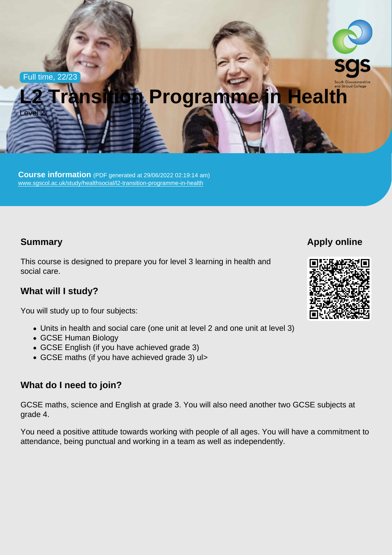Full time, 22/23

# L2 Transition Programme in Health Level 2

Course information (PDF generated at 29/06/2022 02:19:14 am) [www.sgscol.ac.uk/study/healthsocial/l2-transition-programme-in-health](https://www.sgscol.ac.uk/study/healthsocial/l2-transition-programme-in-health)

**Summary** 

Apply online

This course is designed to prepare you for level 3 learning in health and social care.

What will I study?

You will study up to four subjects:

- Units in health and social care (one unit at level 2 and one unit at level 3)
- GCSE Human Biology
- GCSE English (if you have achieved grade 3)
- GCSE maths (if you have achieved grade 3) ul>

#### What do I need to join?

GCSE maths, science and English at grade 3. You will also need another two GCSE subjects at grade 4.

You need a positive attitude towards working with people of all ages. You will have a commitment to attendance, being punctual and working in a team as well as independently.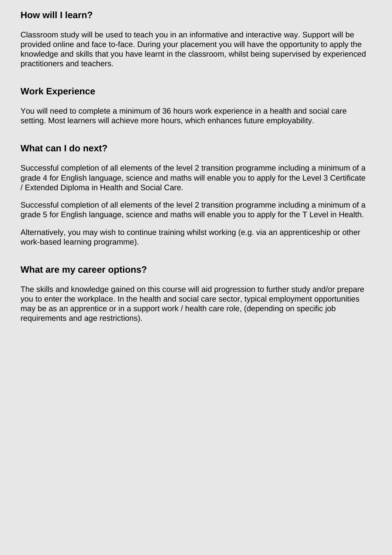#### **How will I learn?**

Classroom study will be used to teach you in an informative and interactive way. Support will be provided online and face to-face. During your placement you will have the opportunity to apply the knowledge and skills that you have learnt in the classroom, whilst being supervised by experienced practitioners and teachers.

## **Work Experience**

You will need to complete a minimum of 36 hours work experience in a health and social care setting. Most learners will achieve more hours, which enhances future employability.

### **What can I do next?**

Successful completion of all elements of the level 2 transition programme including a minimum of a grade 4 for English language, science and maths will enable you to apply for the Level 3 Certificate / Extended Diploma in Health and Social Care.

Successful completion of all elements of the level 2 transition programme including a minimum of a grade 5 for English language, science and maths will enable you to apply for the T Level in Health.

Alternatively, you may wish to continue training whilst working (e.g. via an apprenticeship or other work-based learning programme).

#### **What are my career options?**

The skills and knowledge gained on this course will aid progression to further study and/or prepare you to enter the workplace. In the health and social care sector, typical employment opportunities may be as an apprentice or in a support work / health care role, (depending on specific job requirements and age restrictions).